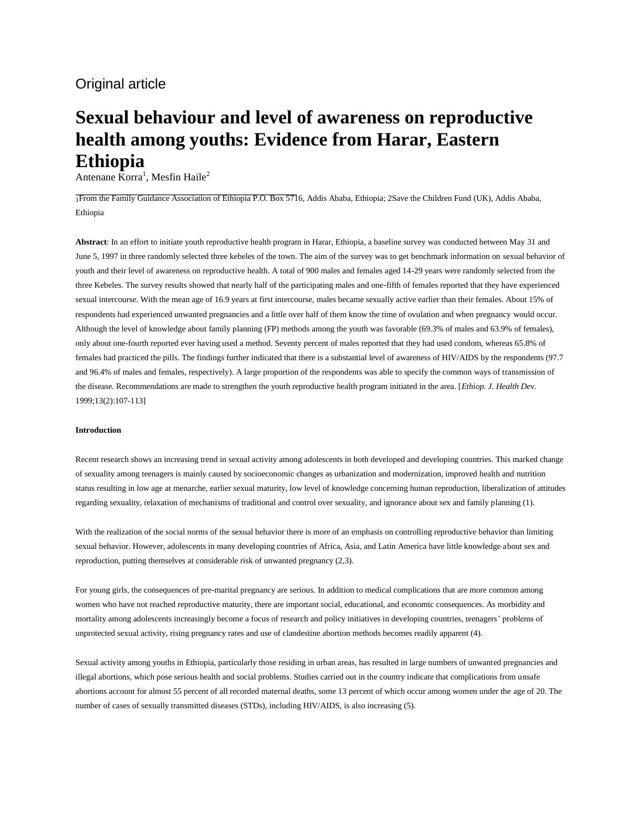# Original article

# **Sexual behaviour and level of awareness on reproductive health among youths: Evidence from Harar, Eastern Ethiopia**

Antenane  $\bar{\text{K}}$ orra<sup>1</sup>, Mesfin Haile<sup>2</sup>

1From the Family Guidance Association of Ethiopia P.O. Box 5716, Addis Ababa, Ethiopia; 2Save the Children Fund (UK), Addis Ababa, Ethiopia

**Abstract**: In an effort to initiate youth reproductive health program in Harar, Ethiopia, a baseline survey was conducted between May 31 and June 5, 1997 in three randomly selected three kebeles of the town. The aim of the survey was to get benchmark information on sexual behavior of youth and their level of awareness on reproductive health. A total of 900 males and females aged 14-29 years were randomly selected from the three Kebeles. The survey results showed that nearly half of the participating males and one-fifth of females reported that they have experienced sexual intercourse. With the mean age of 16.9 years at first intercourse, males became sexually active earlier than their females. About 15% of respondents had experienced unwanted pregnancies and a little over half of them know the time of ovulation and when pregnancy would occur. Although the level of knowledge about family planning (FP) methods among the youth was favorable (69.3% of males and 63.9% of females), only about one-fourth reported ever having used a method. Seventy percent of males reported that they had used condom, whereas 65.8% of females had practiced the pills. The findings further indicated that there is a substantial level of awareness of HIV/AIDS by the respondents (97.7 and 96.4% of males and females, respectively). A large proportion of the respondents was able to specify the common ways of transmission of the disease. Recommendations are made to strengthen the youth reproductive health program initiated in the area. [*Ethiop. J. Health Dev.* 1999;13(2):107-113]

#### **Introduction**

Recent research shows an increasing trend in sexual activity among adolescents in both developed and developing countries. This marked change of sexuality among teenagers is mainly caused by socioeconomic changes as urbanization and modernization, improved health and nutrition status resulting in low age at menarche, earlier sexual maturity, low level of knowledge concerning human reproduction, liberalization of attitudes regarding sexuality, relaxation of mechanisms of traditional and control over sexuality, and ignorance about sex and family planning (1).

With the realization of the social norms of the sexual behavior there is more of an emphasis on controlling reproductive behavior than limiting sexual behavior. However, adolescents in many developing countries of Africa, Asia, and Latin America have little knowledge about sex and reproduction, putting themselves at considerable risk of unwanted pregnancy (2,3).

For young girls, the consequences of pre-marital pregnancy are serious. In addition to medical complications that are more common among women who have not reached reproductive maturity, there are important social, educational, and economic consequences. As morbidity and mortality among adolescents increasingly become a focus of research and policy initiatives in developing countries, teenagers' problems of unprotected sexual activity, rising pregnancy rates and use of clandestine abortion methods becomes readily apparent (4).

Sexual activity among youths in Ethiopia, particularly those residing in urban areas, has resulted in large numbers of unwanted pregnancies and illegal abortions, which pose serious health and social problems. Studies carried out in the country indicate that complications from unsafe abortions account for almost 55 percent of all recorded maternal deaths, some 13 percent of which occur among women under the age of 20. The number of cases of sexually transmitted diseases (STDs), including HIV/AIDS, is also increasing (5).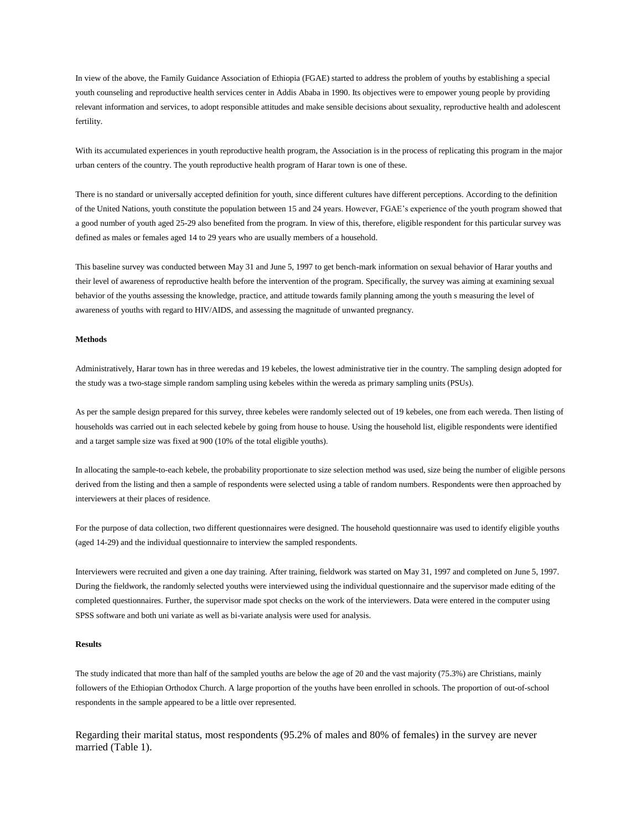In view of the above, the Family Guidance Association of Ethiopia (FGAE) started to address the problem of youths by establishing a special youth counseling and reproductive health services center in Addis Ababa in 1990. Its objectives were to empower young people by providing relevant information and services, to adopt responsible attitudes and make sensible decisions about sexuality, reproductive health and adolescent fertility.

With its accumulated experiences in youth reproductive health program, the Association is in the process of replicating this program in the major urban centers of the country. The youth reproductive health program of Harar town is one of these.

There is no standard or universally accepted definition for youth, since different cultures have different perceptions. According to the definition of the United Nations, youth constitute the population between 15 and 24 years. However, FGAE's experience of the youth program showed that a good number of youth aged 25-29 also benefited from the program. In view of this, therefore, eligible respondent for this particular survey was defined as males or females aged 14 to 29 years who are usually members of a household.

This baseline survey was conducted between May 31 and June 5, 1997 to get bench-mark information on sexual behavior of Harar youths and their level of awareness of reproductive health before the intervention of the program. Specifically, the survey was aiming at examining sexual behavior of the youths assessing the knowledge, practice, and attitude towards family planning among the youth s measuring the level of awareness of youths with regard to HIV/AIDS, and assessing the magnitude of unwanted pregnancy.

#### **Methods**

Administratively, Harar town has in three weredas and 19 kebeles, the lowest administrative tier in the country. The sampling design adopted for the study was a two-stage simple random sampling using kebeles within the wereda as primary sampling units (PSUs).

As per the sample design prepared for this survey, three kebeles were randomly selected out of 19 kebeles, one from each wereda. Then listing of households was carried out in each selected kebele by going from house to house. Using the household list, eligible respondents were identified and a target sample size was fixed at 900 (10% of the total eligible youths).

In allocating the sample-to-each kebele, the probability proportionate to size selection method was used, size being the number of eligible persons derived from the listing and then a sample of respondents were selected using a table of random numbers. Respondents were then approached by interviewers at their places of residence.

For the purpose of data collection, two different questionnaires were designed. The household questionnaire was used to identify eligible youths (aged 14-29) and the individual questionnaire to interview the sampled respondents.

Interviewers were recruited and given a one day training. After training, fieldwork was started on May 31, 1997 and completed on June 5, 1997. During the fieldwork, the randomly selected youths were interviewed using the individual questionnaire and the supervisor made editing of the completed questionnaires. Further, the supervisor made spot checks on the work of the interviewers. Data were entered in the computer using SPSS software and both uni variate as well as bi-variate analysis were used for analysis.

#### **Results**

The study indicated that more than half of the sampled youths are below the age of 20 and the vast majority (75.3%) are Christians, mainly followers of the Ethiopian Orthodox Church. A large proportion of the youths have been enrolled in schools. The proportion of out-of-school respondents in the sample appeared to be a little over represented.

Regarding their marital status, most respondents (95.2% of males and 80% of females) in the survey are never married (Table 1).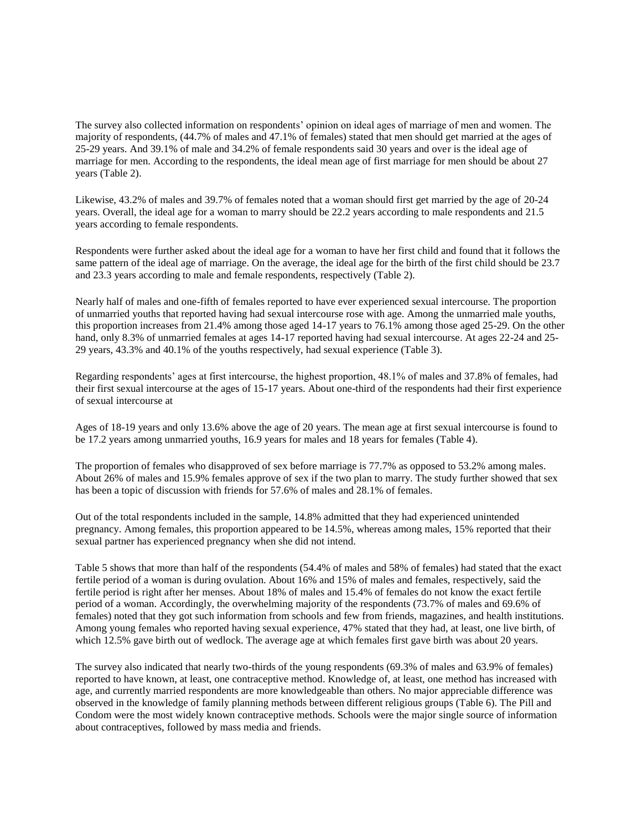The survey also collected information on respondents' opinion on ideal ages of marriage of men and women. The majority of respondents, (44.7% of males and 47.1% of females) stated that men should get married at the ages of 25-29 years. And 39.1% of male and 34.2% of female respondents said 30 years and over is the ideal age of marriage for men. According to the respondents, the ideal mean age of first marriage for men should be about 27 years (Table 2).

Likewise, 43.2% of males and 39.7% of females noted that a woman should first get married by the age of 20-24 years. Overall, the ideal age for a woman to marry should be 22.2 years according to male respondents and 21.5 years according to female respondents.

Respondents were further asked about the ideal age for a woman to have her first child and found that it follows the same pattern of the ideal age of marriage. On the average, the ideal age for the birth of the first child should be 23.7 and 23.3 years according to male and female respondents, respectively (Table 2).

Nearly half of males and one-fifth of females reported to have ever experienced sexual intercourse. The proportion of unmarried youths that reported having had sexual intercourse rose with age. Among the unmarried male youths, this proportion increases from 21.4% among those aged 14-17 years to 76.1% among those aged 25-29. On the other hand, only 8.3% of unmarried females at ages 14-17 reported having had sexual intercourse. At ages 22-24 and 25-29 years, 43.3% and 40.1% of the youths respectively, had sexual experience (Table 3).

Regarding respondents' ages at first intercourse, the highest proportion, 48.1% of males and 37.8% of females, had their first sexual intercourse at the ages of 15-17 years. About one-third of the respondents had their first experience of sexual intercourse at

Ages of 18-19 years and only 13.6% above the age of 20 years. The mean age at first sexual intercourse is found to be 17.2 years among unmarried youths, 16.9 years for males and 18 years for females (Table 4).

The proportion of females who disapproved of sex before marriage is 77.7% as opposed to 53.2% among males. About 26% of males and 15.9% females approve of sex if the two plan to marry. The study further showed that sex has been a topic of discussion with friends for 57.6% of males and 28.1% of females.

Out of the total respondents included in the sample, 14.8% admitted that they had experienced unintended pregnancy. Among females, this proportion appeared to be 14.5%, whereas among males, 15% reported that their sexual partner has experienced pregnancy when she did not intend.

Table 5 shows that more than half of the respondents (54.4% of males and 58% of females) had stated that the exact fertile period of a woman is during ovulation. About 16% and 15% of males and females, respectively, said the fertile period is right after her menses. About 18% of males and 15.4% of females do not know the exact fertile period of a woman. Accordingly, the overwhelming majority of the respondents (73.7% of males and 69.6% of females) noted that they got such information from schools and few from friends, magazines, and health institutions. Among young females who reported having sexual experience, 47% stated that they had, at least, one live birth, of which 12.5% gave birth out of wedlock. The average age at which females first gave birth was about 20 years.

The survey also indicated that nearly two-thirds of the young respondents (69.3% of males and 63.9% of females) reported to have known, at least, one contraceptive method. Knowledge of, at least, one method has increased with age, and currently married respondents are more knowledgeable than others. No major appreciable difference was observed in the knowledge of family planning methods between different religious groups (Table 6). The Pill and Condom were the most widely known contraceptive methods. Schools were the major single source of information about contraceptives, followed by mass media and friends.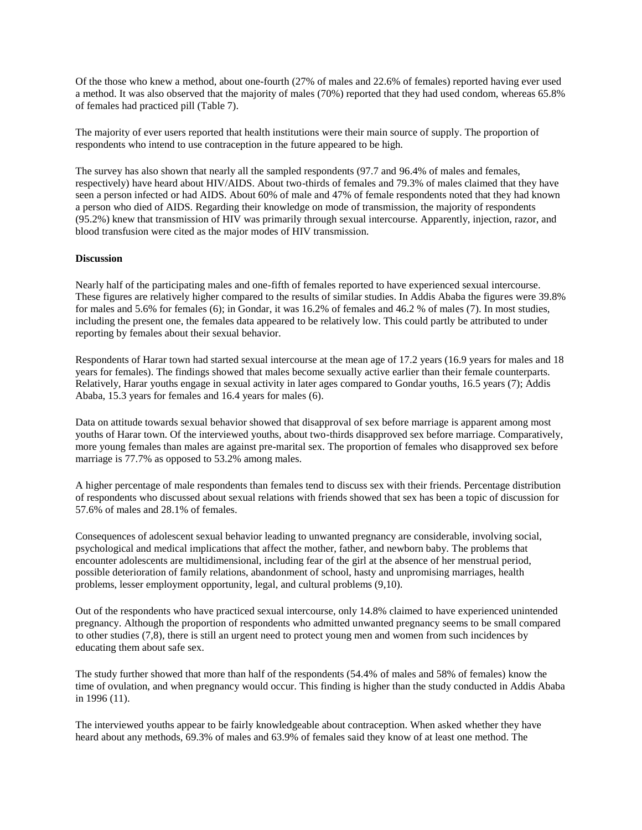Of the those who knew a method, about one-fourth (27% of males and 22.6% of females) reported having ever used a method. It was also observed that the majority of males (70%) reported that they had used condom, whereas 65.8% of females had practiced pill (Table 7).

The majority of ever users reported that health institutions were their main source of supply. The proportion of respondents who intend to use contraception in the future appeared to be high.

The survey has also shown that nearly all the sampled respondents (97.7 and 96.4% of males and females, respectively) have heard about HIV/AIDS. About two-thirds of females and 79.3% of males claimed that they have seen a person infected or had AIDS. About 60% of male and 47% of female respondents noted that they had known a person who died of AIDS. Regarding their knowledge on mode of transmission, the majority of respondents (95.2%) knew that transmission of HIV was primarily through sexual intercourse. Apparently, injection, razor, and blood transfusion were cited as the major modes of HIV transmission.

# **Discussion**

Nearly half of the participating males and one-fifth of females reported to have experienced sexual intercourse. These figures are relatively higher compared to the results of similar studies. In Addis Ababa the figures were 39.8% for males and 5.6% for females (6); in Gondar, it was 16.2% of females and 46.2 % of males (7). In most studies, including the present one, the females data appeared to be relatively low. This could partly be attributed to under reporting by females about their sexual behavior.

Respondents of Harar town had started sexual intercourse at the mean age of 17.2 years (16.9 years for males and 18 years for females). The findings showed that males become sexually active earlier than their female counterparts. Relatively, Harar youths engage in sexual activity in later ages compared to Gondar youths, 16.5 years (7); Addis Ababa, 15.3 years for females and 16.4 years for males (6).

Data on attitude towards sexual behavior showed that disapproval of sex before marriage is apparent among most youths of Harar town. Of the interviewed youths, about two-thirds disapproved sex before marriage. Comparatively, more young females than males are against pre-marital sex. The proportion of females who disapproved sex before marriage is 77.7% as opposed to 53.2% among males.

A higher percentage of male respondents than females tend to discuss sex with their friends. Percentage distribution of respondents who discussed about sexual relations with friends showed that sex has been a topic of discussion for 57.6% of males and 28.1% of females.

Consequences of adolescent sexual behavior leading to unwanted pregnancy are considerable, involving social, psychological and medical implications that affect the mother, father, and newborn baby. The problems that encounter adolescents are multidimensional, including fear of the girl at the absence of her menstrual period, possible deterioration of family relations, abandonment of school, hasty and unpromising marriages, health problems, lesser employment opportunity, legal, and cultural problems (9,10).

Out of the respondents who have practiced sexual intercourse, only 14.8% claimed to have experienced unintended pregnancy. Although the proportion of respondents who admitted unwanted pregnancy seems to be small compared to other studies (7,8), there is still an urgent need to protect young men and women from such incidences by educating them about safe sex.

The study further showed that more than half of the respondents (54.4% of males and 58% of females) know the time of ovulation, and when pregnancy would occur. This finding is higher than the study conducted in Addis Ababa in 1996 (11).

The interviewed youths appear to be fairly knowledgeable about contraception. When asked whether they have heard about any methods, 69.3% of males and 63.9% of females said they know of at least one method. The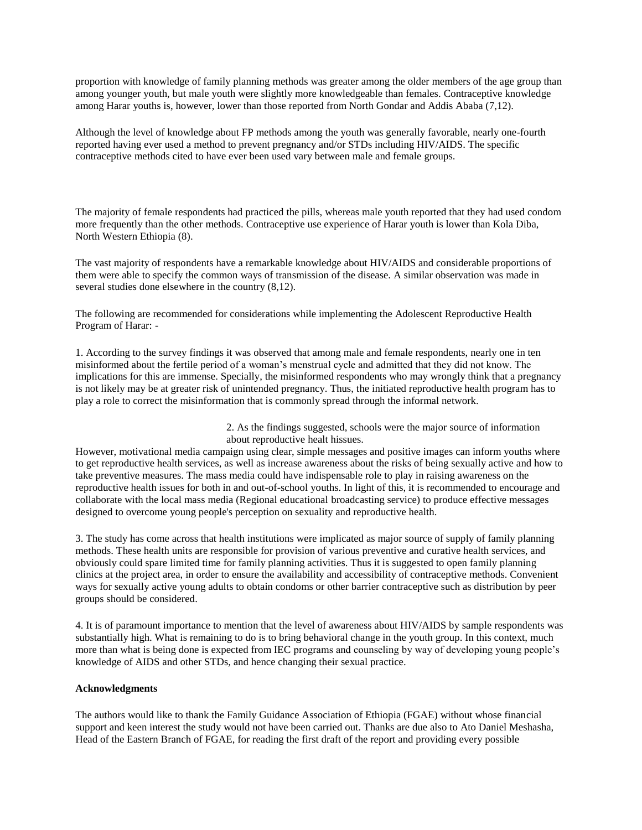proportion with knowledge of family planning methods was greater among the older members of the age group than among younger youth, but male youth were slightly more knowledgeable than females. Contraceptive knowledge among Harar youths is, however, lower than those reported from North Gondar and Addis Ababa (7,12).

Although the level of knowledge about FP methods among the youth was generally favorable, nearly one-fourth reported having ever used a method to prevent pregnancy and/or STDs including HIV/AIDS. The specific contraceptive methods cited to have ever been used vary between male and female groups.

The majority of female respondents had practiced the pills, whereas male youth reported that they had used condom more frequently than the other methods. Contraceptive use experience of Harar youth is lower than Kola Diba, North Western Ethiopia (8).

The vast majority of respondents have a remarkable knowledge about HIV/AIDS and considerable proportions of them were able to specify the common ways of transmission of the disease. A similar observation was made in several studies done elsewhere in the country (8,12).

The following are recommended for considerations while implementing the Adolescent Reproductive Health Program of Harar: -

1. According to the survey findings it was observed that among male and female respondents, nearly one in ten misinformed about the fertile period of a woman's menstrual cycle and admitted that they did not know. The implications for this are immense. Specially, the misinformed respondents who may wrongly think that a pregnancy is not likely may be at greater risk of unintended pregnancy. Thus, the initiated reproductive health program has to play a role to correct the misinformation that is commonly spread through the informal network.

> 2. As the findings suggested, schools were the major source of information about reproductive healt hissues.

However, motivational media campaign using clear, simple messages and positive images can inform youths where to get reproductive health services, as well as increase awareness about the risks of being sexually active and how to take preventive measures. The mass media could have indispensable role to play in raising awareness on the reproductive health issues for both in and out-of-school youths. In light of this, it is recommended to encourage and collaborate with the local mass media (Regional educational broadcasting service) to produce effective messages designed to overcome young people's perception on sexuality and reproductive health.

3. The study has come across that health institutions were implicated as major source of supply of family planning methods. These health units are responsible for provision of various preventive and curative health services, and obviously could spare limited time for family planning activities. Thus it is suggested to open family planning clinics at the project area, in order to ensure the availability and accessibility of contraceptive methods. Convenient ways for sexually active young adults to obtain condoms or other barrier contraceptive such as distribution by peer groups should be considered.

4. It is of paramount importance to mention that the level of awareness about HIV/AIDS by sample respondents was substantially high. What is remaining to do is to bring behavioral change in the youth group. In this context, much more than what is being done is expected from IEC programs and counseling by way of developing young people's knowledge of AIDS and other STDs, and hence changing their sexual practice.

# **Acknowledgments**

The authors would like to thank the Family Guidance Association of Ethiopia (FGAE) without whose financial support and keen interest the study would not have been carried out. Thanks are due also to Ato Daniel Meshasha, Head of the Eastern Branch of FGAE, for reading the first draft of the report and providing every possible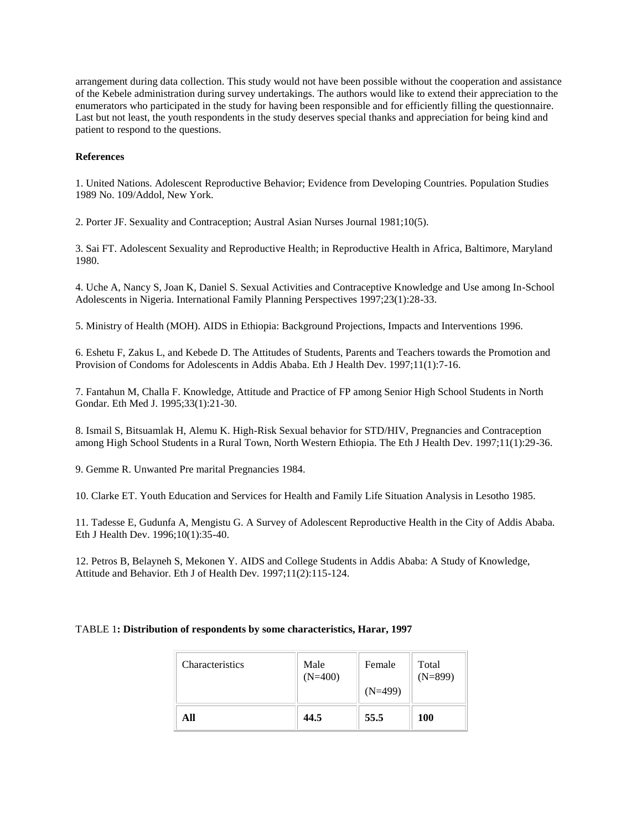arrangement during data collection. This study would not have been possible without the cooperation and assistance of the Kebele administration during survey undertakings. The authors would like to extend their appreciation to the enumerators who participated in the study for having been responsible and for efficiently filling the questionnaire. Last but not least, the youth respondents in the study deserves special thanks and appreciation for being kind and patient to respond to the questions.

# **References**

1. United Nations. Adolescent Reproductive Behavior; Evidence from Developing Countries. Population Studies 1989 No. 109/Addol, New York.

2. Porter JF. Sexuality and Contraception; Austral Asian Nurses Journal 1981;10(5).

3. Sai FT. Adolescent Sexuality and Reproductive Health; in Reproductive Health in Africa, Baltimore, Maryland 1980.

4. Uche A, Nancy S, Joan K, Daniel S. Sexual Activities and Contraceptive Knowledge and Use among In-School Adolescents in Nigeria. International Family Planning Perspectives 1997;23(1):28-33.

5. Ministry of Health (MOH). AIDS in Ethiopia: Background Projections, Impacts and Interventions 1996.

6. Eshetu F, Zakus L, and Kebede D. The Attitudes of Students, Parents and Teachers towards the Promotion and Provision of Condoms for Adolescents in Addis Ababa. Eth J Health Dev. 1997;11(1):7-16.

7. Fantahun M, Challa F. Knowledge, Attitude and Practice of FP among Senior High School Students in North Gondar. Eth Med J. 1995;33(1):21-30.

8. Ismail S, Bitsuamlak H, Alemu K. High-Risk Sexual behavior for STD/HIV, Pregnancies and Contraception among High School Students in a Rural Town, North Western Ethiopia. The Eth J Health Dev. 1997;11(1):29-36.

9. Gemme R. Unwanted Pre marital Pregnancies 1984.

10. Clarke ET. Youth Education and Services for Health and Family Life Situation Analysis in Lesotho 1985.

11. Tadesse E, Gudunfa A, Mengistu G. A Survey of Adolescent Reproductive Health in the City of Addis Ababa. Eth J Health Dev. 1996;10(1):35-40.

12. Petros B, Belayneh S, Mekonen Y. AIDS and College Students in Addis Ababa: A Study of Knowledge, Attitude and Behavior. Eth J of Health Dev. 1997;11(2):115-124.

# TABLE 1**: Distribution of respondents by some characteristics, Harar, 1997**

| Characteristics | Male      | Female    | Total      |
|-----------------|-----------|-----------|------------|
|                 | $(N=400)$ | $(N=499)$ | $(N=899)$  |
| All             | 44.5      | 55.5      | <b>100</b> |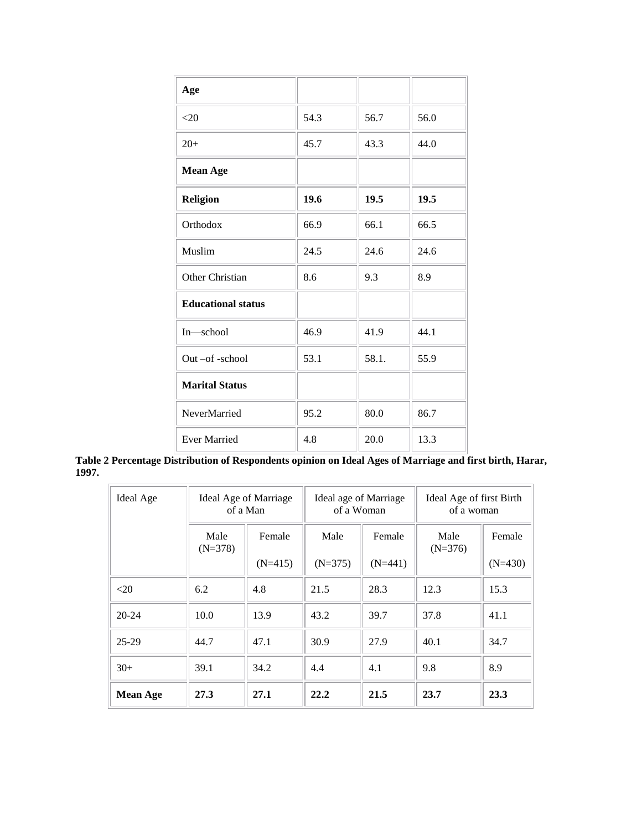| Age                       |      |       |      |
|---------------------------|------|-------|------|
| $<$ 20                    | 54.3 | 56.7  | 56.0 |
| $20+$                     | 45.7 | 43.3  | 44.0 |
| <b>Mean Age</b>           |      |       |      |
| <b>Religion</b>           | 19.6 | 19.5  | 19.5 |
| Orthodox                  | 66.9 | 66.1  | 66.5 |
| Muslim                    | 24.5 | 24.6  | 24.6 |
| Other Christian           | 8.6  | 9.3   | 8.9  |
| <b>Educational status</b> |      |       |      |
| In-school                 | 46.9 | 41.9  | 44.1 |
| Out-of-school             | 53.1 | 58.1. | 55.9 |
| <b>Marital Status</b>     |      |       |      |
| NeverMarried              | 95.2 | 80.0  | 86.7 |
| <b>Ever Married</b>       | 4.8  | 20.0  | 13.3 |

**Table 2 Percentage Distribution of Respondents opinion on Ideal Ages of Marriage and first birth, Harar, 1997.**

| Ideal Age       |                   | Ideal Age of Marriage<br>of a Man |           | Ideal age of Marriage<br>of a Woman |                   | Ideal Age of first Birth<br>of a woman |  |
|-----------------|-------------------|-----------------------------------|-----------|-------------------------------------|-------------------|----------------------------------------|--|
|                 | Male<br>$(N=378)$ | Female                            | Male      | Female                              | Male<br>$(N=376)$ | Female                                 |  |
|                 |                   | $(N=415)$                         | $(N=375)$ | $(N=441)$                           |                   | $(N=430)$                              |  |
| $<$ 20          | 6.2               | 4.8                               | 21.5      | 28.3                                | 12.3              | 15.3                                   |  |
| $20 - 24$       | 10.0              | 13.9                              | 43.2      | 39.7                                | 37.8              | 41.1                                   |  |
| $25-29$         | 44.7              | 47.1                              | 30.9      | 27.9                                | 40.1              | 34.7                                   |  |
| $30+$           | 39.1              | 34.2                              | 4.4       | 4.1                                 | 9.8               | 8.9                                    |  |
| <b>Mean Age</b> | 27.3              | 27.1                              | 22.2      | 21.5                                | 23.7              | 23.3                                   |  |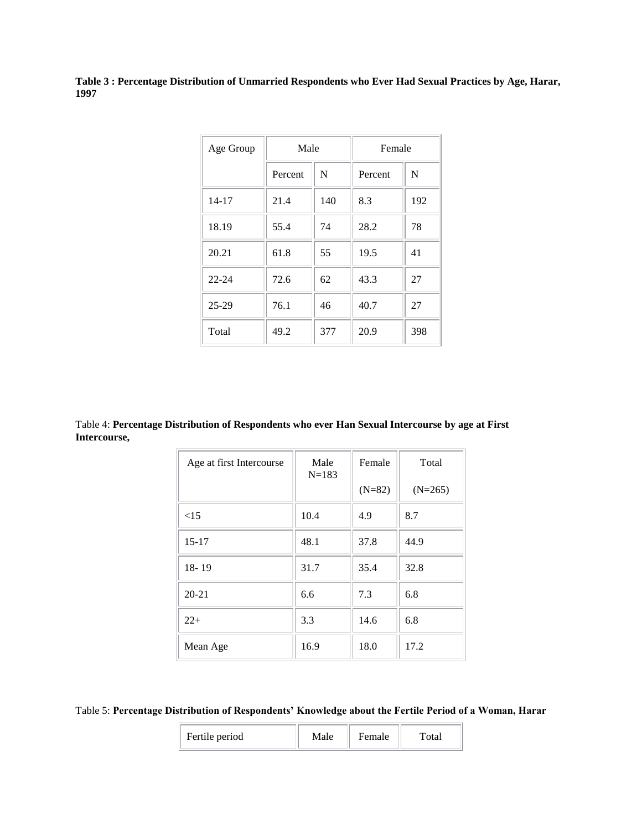**Table 3 : Percentage Distribution of Unmarried Respondents who Ever Had Sexual Practices by Age, Harar, 1997**

| Age Group | Male    |     | Female  |     |
|-----------|---------|-----|---------|-----|
|           | Percent | N   | Percent | N   |
| $14 - 17$ | 21.4    | 140 | 8.3     | 192 |
| 18.19     | 55.4    | 74  | 28.2    | 78  |
| 20.21     | 61.8    | 55  | 19.5    | 41  |
| $22 - 24$ | 72.6    | 62  | 43.3    | 27  |
| $25-29$   | 76.1    | 46  | 40.7    | 27  |
| Total     | 49.2    | 377 | 20.9    | 398 |

Table 4: **Percentage Distribution of Respondents who ever Han Sexual Intercourse by age at First Intercourse,**

| Age at first Intercourse | Male<br>$N = 183$ | Female   | Total     |
|--------------------------|-------------------|----------|-----------|
|                          |                   | $(N=82)$ | $(N=265)$ |
| <15                      | 10.4              | 4.9      | 8.7       |
| $15 - 17$                | 48.1              | 37.8     | 44.9      |
| $18 - 19$                | 31.7              | 35.4     | 32.8      |
| $20 - 21$                | 6.6               | 7.3      | 6.8       |
| $22+$                    | 3.3               | 14.6     | 6.8       |
| Mean Age                 | 16.9              | 18.0     | 17.2      |

Table 5: **Percentage Distribution of Respondents' Knowledge about the Fertile Period of a Woman, Harar**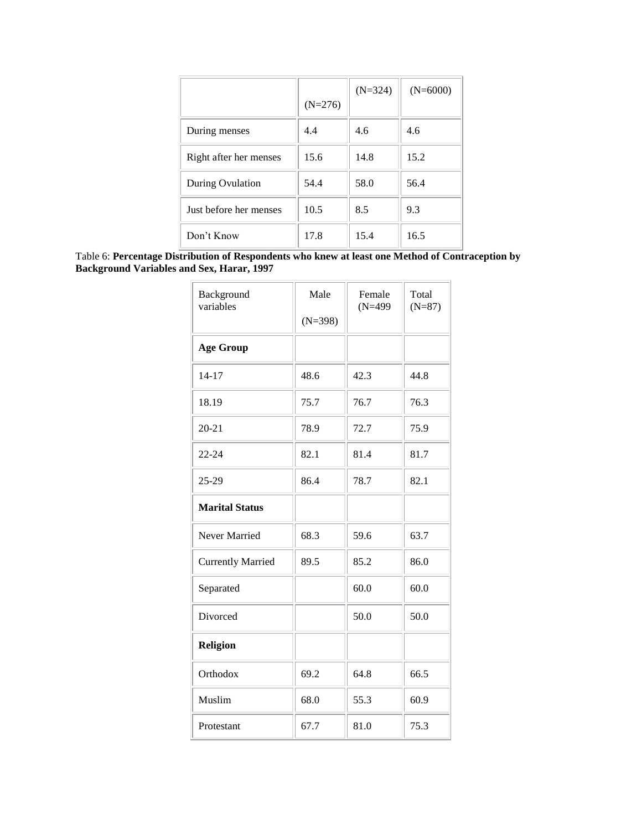|                        |           | $(N=324)$ | $(N=6000)$ |
|------------------------|-----------|-----------|------------|
|                        | $(N=276)$ |           |            |
| During menses          | 4.4       | 4.6       | 4.6        |
| Right after her menses | 15.6      | 14.8      | 15.2       |
| During Ovulation       | 54.4      | 58.0      | 56.4       |
| Just before her menses | 10.5      | 8.5       | 9.3        |
| Don't Know             | 17.8      | 15.4      | 16.5       |

Table 6: **Percentage Distribution of Respondents who knew at least one Method of Contraception by Background Variables and Sex, Harar, 1997**

| Background<br>variables  | Male<br>$(N=398)$ | Female<br>$(N=499)$ | Total<br>$(N=87)$ |
|--------------------------|-------------------|---------------------|-------------------|
| <b>Age Group</b>         |                   |                     |                   |
| 14-17                    | 48.6              | 42.3                | 44.8              |
| 18.19                    | 75.7              | 76.7                | 76.3              |
| $20 - 21$                | 78.9              | 72.7                | 75.9              |
| $22 - 24$                | 82.1              | 81.4                | 81.7              |
| 25-29                    | 86.4              | 78.7                | 82.1              |
| <b>Marital Status</b>    |                   |                     |                   |
| Never Married            | 68.3              | 59.6                | 63.7              |
| <b>Currently Married</b> | 89.5              | 85.2                | 86.0              |
| Separated                |                   | 60.0                | 60.0              |
| Divorced                 |                   | 50.0                | 50.0              |
| Religion                 |                   |                     |                   |
| Orthodox                 | 69.2              | 64.8                | 66.5              |
| Muslim                   | 68.0              | 55.3                | 60.9              |
| Protestant               | 67.7              | 81.0                | 75.3              |